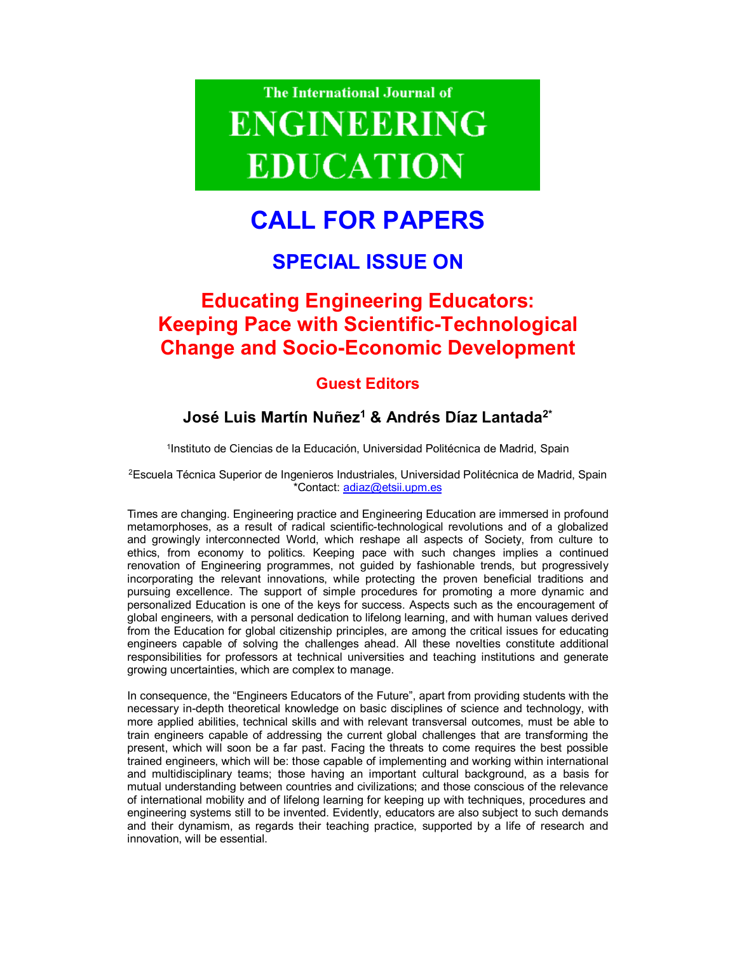

# **CALL FOR PAPERS**

## **SPECIAL ISSUE ON**

## **Educating Engineering Educators: Keeping Pace with Scientific-Technological Change and Socio-Economic Development**

### **Guest Editors**

### **José Luis Martín Nuñez<sup>1</sup> & Andrés Díaz Lantada2\***

<sup>1</sup>Instituto de Ciencias de la Educación, Universidad Politécnica de Madrid, Spain

<sup>2</sup>Escuela Técnica Superior de Ingenieros Industriales, Universidad Politécnica de Madrid, Spain \*Contact: adiaz@etsii.upm.es

Times are changing. Engineering practice and Engineering Education are immersed in profound metamorphoses, as a result of radical scientific-technological revolutions and of a globalized and growingly interconnected World, which reshape all aspects of Society, from culture to ethics, from economy to politics. Keeping pace with such changes implies a continued renovation of Engineering programmes, not guided by fashionable trends, but progressively incorporating the relevant innovations, while protecting the proven beneficial traditions and pursuing excellence. The support of simple procedures for promoting a more dynamic and personalized Education is one of the keys for success. Aspects such as the encouragement of global engineers, with a personal dedication to lifelong learning, and with human values derived from the Education for global citizenship principles, are among the critical issues for educating engineers capable of solving the challenges ahead. All these novelties constitute additional responsibilities for professors at technical universities and teaching institutions and generate growing uncertainties, which are complex to manage.

In consequence, the "Engineers Educators of the Future", apart from providing students with the necessary in-depth theoretical knowledge on basic disciplines of science and technology, with more applied abilities, technical skills and with relevant transversal outcomes, must be able to train engineers capable of addressing the current global challenges that are transforming the present, which will soon be a far past. Facing the threats to come requires the best possible trained engineers, which will be: those capable of implementing and working within international and multidisciplinary teams; those having an important cultural background, as a basis for mutual understanding between countries and civilizations; and those conscious of the relevance of international mobility and of lifelong learning for keeping up with techniques, procedures and engineering systems still to be invented. Evidently, educators are also subject to such demands and their dynamism, as regards their teaching practice, supported by a life of research and innovation, will be essential.